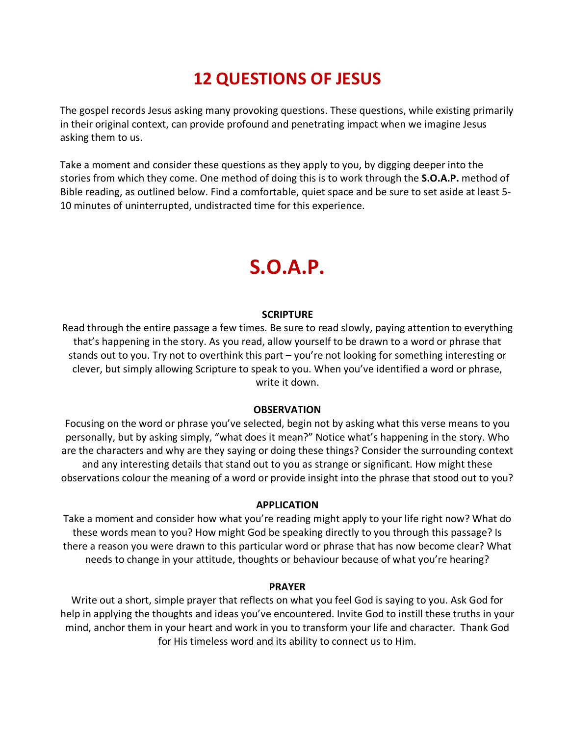# **12 QUESTIONS OF JESUS**

The gospel records Jesus asking many provoking questions. These questions, while existing primarily in their original context, can provide profound and penetrating impact when we imagine Jesus asking them to us.

Take a moment and consider these questions as they apply to you, by digging deeper into the stories from which they come. One method of doing this is to work through the **S.O.A.P.** method of Bible reading, as outlined below. Find a comfortable, quiet space and be sure to set aside at least 5- 10 minutes of uninterrupted, undistracted time for this experience.

# **S.O.A.P.**

### **SCRIPTURE**

Read through the entire passage a few times. Be sure to read slowly, paying attention to everything that's happening in the story. As you read, allow yourself to be drawn to a word or phrase that stands out to you. Try not to overthink this part – you're not looking for something interesting or clever, but simply allowing Scripture to speak to you. When you've identified a word or phrase, write it down.

### **OBSERVATION**

Focusing on the word or phrase you've selected, begin not by asking what this verse means to you personally, but by asking simply, "what does it mean?" Notice what's happening in the story. Who are the characters and why are they saying or doing these things? Consider the surrounding context and any interesting details that stand out to you as strange or significant. How might these observations colour the meaning of a word or provide insight into the phrase that stood out to you?

### **APPLICATION**

Take a moment and consider how what you're reading might apply to your life right now? What do these words mean to you? How might God be speaking directly to you through this passage? Is there a reason you were drawn to this particular word or phrase that has now become clear? What needs to change in your attitude, thoughts or behaviour because of what you're hearing?

#### **PRAYER**

Write out a short, simple prayer that reflects on what you feel God is saying to you. Ask God for help in applying the thoughts and ideas you've encountered. Invite God to instill these truths in your mind, anchor them in your heart and work in you to transform your life and character. Thank God for His timeless word and its ability to connect us to Him.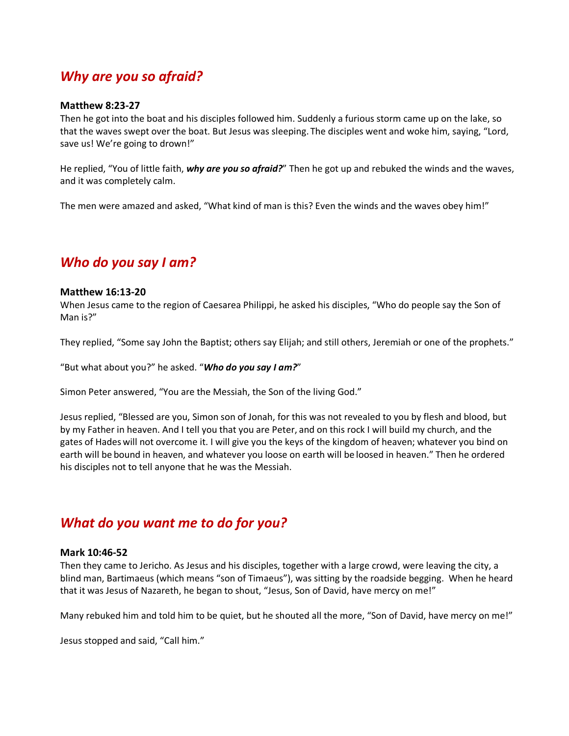## *Why are you so afraid?*

### **Matthew 8:23-27**

Then he got into the boat and his disciples followed him. Suddenly a furious storm came up on the lake, so that the waves swept over the boat. But Jesus was sleeping. The disciples went and woke him, saying, "Lord, save us! We're going to drown!"

He replied, "You of little faith, *why are you so afraid?*" Then he got up and rebuked the winds and the waves, and it was completely calm.

The men were amazed and asked, "What kind of man is this? Even the winds and the waves obey him!"

## *Who do you say I am?*

### **Matthew 16:13-20**

When Jesus came to the region of Caesarea Philippi, he asked his disciples, "Who do people say the Son of Man is?"

They replied, "Some say John the Baptist; others say Elijah; and still others, Jeremiah or one of the prophets."

"But what about you?" he asked. "*Who do you say I am?*"

Simon Peter answered, "You are the Messiah, the Son of the living God."

Jesus replied, "Blessed are you, Simon son of Jonah, for this was not revealed to you by flesh and blood, but by my Father in heaven. And I tell you that you are Peter, and on this rock I will build my church, and the gates of Hades will not overcome it. I will give you the keys of the kingdom of heaven; whatever you bind on earth will be bound in heaven, and whatever you loose on earth will be loosed in heaven." Then he ordered his disciples not to tell anyone that he was the Messiah.

### *What do you want me to do for you?*

### **Mark 10:46-52**

Then they came to Jericho. As Jesus and his disciples, together with a large crowd, were leaving the city, a blind man, Bartimaeus (which means "son of Timaeus"), was sitting by the roadside begging. When he heard that it was Jesus of Nazareth, he began to shout, "Jesus, Son of David, have mercy on me!"

Many rebuked him and told him to be quiet, but he shouted all the more, "Son of David, have mercy on me!"

Jesus stopped and said, "Call him."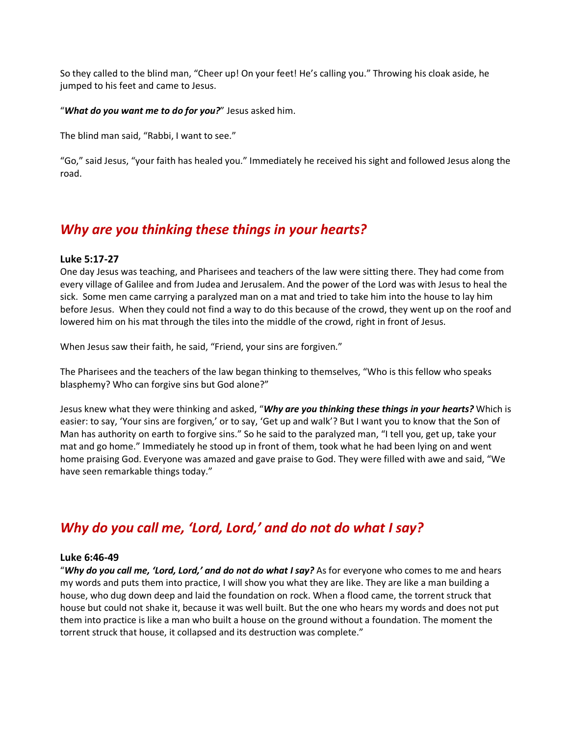So they called to the blind man, "Cheer up! On your feet! He's calling you." Throwing his cloak aside, he jumped to his feet and came to Jesus.

"*What do you want me to do for you?*" Jesus asked him.

The blind man said, "Rabbi, I want to see."

"Go," said Jesus, "your faith has healed you." Immediately he received his sight and followed Jesus along the road.

## *Why are you thinking these things in your hearts?*

### **Luke 5:17-27**

One day Jesus was teaching, and Pharisees and teachers of the law were sitting there. They had come from every village of Galilee and from Judea and Jerusalem. And the power of the Lord was with Jesus to heal the sick. Some men came carrying a paralyzed man on a mat and tried to take him into the house to lay him before Jesus. When they could not find a way to do this because of the crowd, they went up on the roof and lowered him on his mat through the tiles into the middle of the crowd, right in front of Jesus.

When Jesus saw their faith, he said, "Friend, your sins are forgiven."

The Pharisees and the teachers of the law began thinking to themselves, "Who is this fellow who speaks blasphemy? Who can forgive sins but God alone?"

Jesus knew what they were thinking and asked, "*Why are you thinking these things in your hearts?* Which is easier: to say, 'Your sins are forgiven,' or to say, 'Get up and walk'? But I want you to know that the Son of Man has authority on earth to forgive sins." So he said to the paralyzed man, "I tell you, get up, take your mat and go home." Immediately he stood up in front of them, took what he had been lying on and went home praising God. Everyone was amazed and gave praise to God. They were filled with awe and said, "We have seen remarkable things today."

## *Why do you call me, 'Lord, Lord,' and do not do what I say?*

### **Luke 6:46-49**

"*Why do you call me, 'Lord, Lord,' and do not do what I say?* As for everyone who comes to me and hears my words and puts them into practice, I will show you what they are like. They are like a man building a house, who dug down deep and laid the foundation on rock. When a flood came, the torrent struck that house but could not shake it, because it was well built. But the one who hears my words and does not put them into practice is like a man who built a house on the ground without a foundation. The moment the torrent struck that house, it collapsed and its destruction was complete."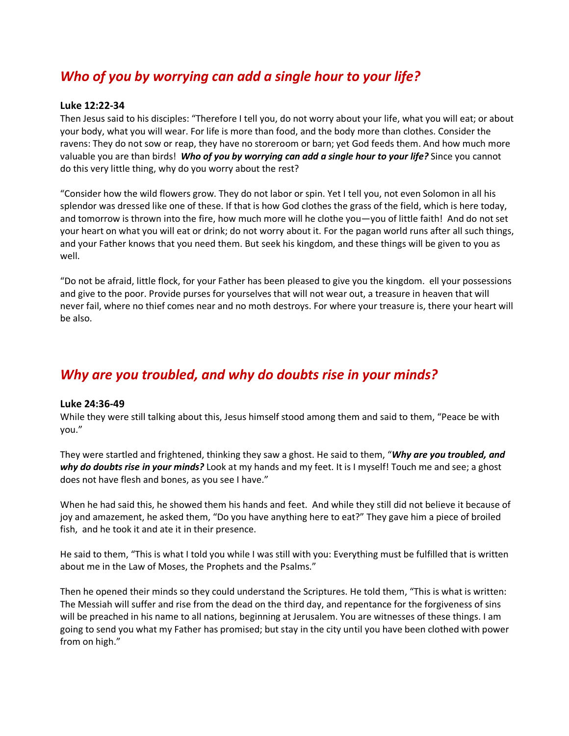# *Who of you by worrying can add a single hour to your life?*

### **Luke 12:22-34**

Then Jesus said to his disciples: "Therefore I tell you, do not worry about your life, what you will eat; or about your body, what you will wear. For life is more than food, and the body more than clothes. Consider the ravens: They do not sow or reap, they have no storeroom or barn; yet God feeds them. And how much more valuable you are than birds! *Who of you by worrying can add a single hour to your life?* Since you cannot do this very little thing, why do you worry about the rest?

"Consider how the wild flowers grow. They do not labor or spin. Yet I tell you, not even Solomon in all his splendor was dressed like one of these. If that is how God clothes the grass of the field, which is here today, and tomorrow is thrown into the fire, how much more will he clothe you—you of little faith! And do not set your heart on what you will eat or drink; do not worry about it. For the pagan world runs after all such things, and your Father knows that you need them. But seek his kingdom, and these things will be given to you as well.

"Do not be afraid, little flock, for your Father has been pleased to give you the kingdom. ell your possessions and give to the poor. Provide purses for yourselves that will not wear out, a treasure in heaven that will never fail, where no thief comes near and no moth destroys. For where your treasure is, there your heart will be also.

## *Why are you troubled, and why do doubts rise in your minds?*

### **Luke 24:36-49**

While they were still talking about this, Jesus himself stood among them and said to them, "Peace be with you."

They were startled and frightened, thinking they saw a ghost. He said to them, "*Why are you troubled, and why do doubts rise in your minds?* Look at my hands and my feet. It is I myself! Touch me and see; a ghost does not have flesh and bones, as you see I have."

When he had said this, he showed them his hands and feet. And while they still did not believe it because of joy and amazement, he asked them, "Do you have anything here to eat?" They gave him a piece of broiled fish, and he took it and ate it in their presence.

He said to them, "This is what I told you while I was still with you: Everything must be fulfilled that is written about me in the Law of Moses, the Prophets and the Psalms."

Then he opened their minds so they could understand the Scriptures. He told them, "This is what is written: The Messiah will suffer and rise from the dead on the third day, and repentance for the forgiveness of sins will be preached in his name to all nations, beginning at Jerusalem. You are witnesses of these things. I am going to send you what my Father has promised; but stay in the city until you have been clothed with power from on high."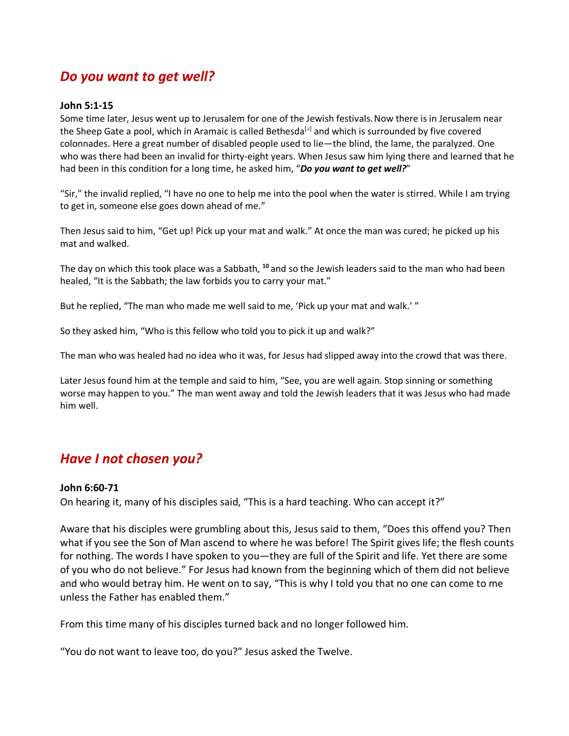## *Do you want to get well?*

### **John 5:1-15**

Some time later, Jesus went up to Jerusalem for one of the Jewish festivals. Now there is in Jerusalem near the Sheep Gate a pool, which in Aramaic is called Bethesda<sup>[a]</sup> and which is surrounded by five covered colonnades. Here a great number of disabled people used to lie—the blind, the lame, the paralyzed. One who was there had been an invalid for thirty-eight years. When Jesus saw him lying there and learned that he had been in this condition for a long time, he asked him, "*Do you want to get well?*"

"Sir," the invalid replied, "I have no one to help me into the pool when the water is stirred. While I am trying to get in, someone else goes down ahead of me."

Then Jesus said to him, "Get up! Pick up your mat and walk." At once the man was cured; he picked up his mat and walked.

The day on which this took place was a Sabbath, **<sup>10</sup>** and so the Jewish leaders said to the man who had been healed, "It is the Sabbath; the law forbids you to carry your mat."

But he replied, "The man who made me well said to me, 'Pick up your mat and walk.' "

So they asked him, "Who is this fellow who told you to pick it up and walk?"

The man who was healed had no idea who it was, for Jesus had slipped away into the crowd that was there.

Later Jesus found him at the temple and said to him, "See, you are well again. Stop sinning or something worse may happen to you." The man went away and told the Jewish leaders that it was Jesus who had made him well.

### *Have I not chosen you?*

### **John 6:60-71**

On hearing it, many of his disciples said, "This is a hard teaching. Who can accept it?"

Aware that his disciples were grumbling about this, Jesus said to them, "Does this offend you? Then what if you see the Son of Man ascend to where he was before! The Spirit gives life; the flesh counts for nothing. The words I have spoken to you—they are full of the Spirit and life. Yet there are some of you who do not believe." For Jesus had known from the beginning which of them did not believe and who would betray him. He went on to say, "This is why I told you that no one can come to me unless the Father has enabled them."

From this time many of his disciples turned back and no longer followed him.

"You do not want to leave too, do you?" Jesus asked the Twelve.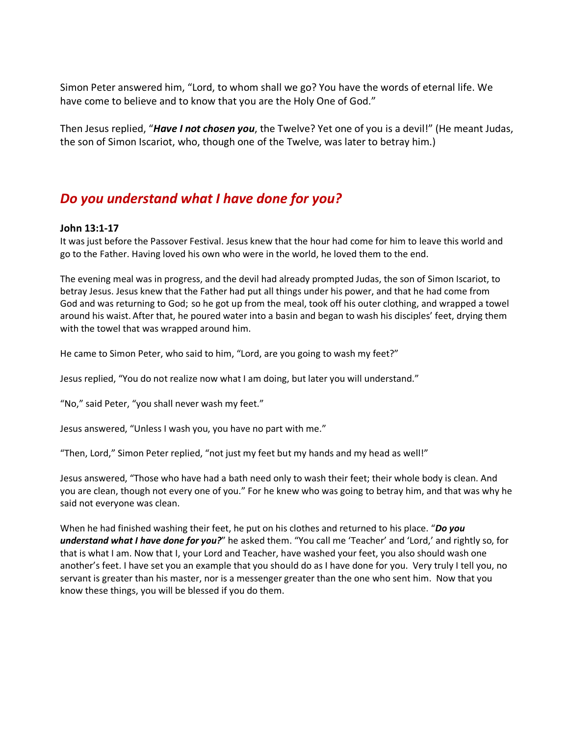Simon Peter answered him, "Lord, to whom shall we go? You have the words of eternal life. We have come to believe and to know that you are the Holy One of God."

Then Jesus replied, "*Have I not chosen you*, the Twelve? Yet one of you is a devil!" (He meant Judas, the son of Simon Iscariot, who, though one of the Twelve, was later to betray him.)

## *Do you understand what I have done for you?*

### **John 13:1-17**

It was just before the Passover Festival. Jesus knew that the hour had come for him to leave this world and go to the Father. Having loved his own who were in the world, he loved them to the end.

The evening meal was in progress, and the devil had already prompted Judas, the son of Simon Iscariot, to betray Jesus. Jesus knew that the Father had put all things under his power, and that he had come from God and was returning to God; so he got up from the meal, took off his outer clothing, and wrapped a towel around his waist. After that, he poured water into a basin and began to wash his disciples' feet, drying them with the towel that was wrapped around him.

He came to Simon Peter, who said to him, "Lord, are you going to wash my feet?"

Jesus replied, "You do not realize now what I am doing, but later you will understand."

"No," said Peter, "you shall never wash my feet."

Jesus answered, "Unless I wash you, you have no part with me."

"Then, Lord," Simon Peter replied, "not just my feet but my hands and my head as well!"

Jesus answered, "Those who have had a bath need only to wash their feet; their whole body is clean. And you are clean, though not every one of you." For he knew who was going to betray him, and that was why he said not everyone was clean.

When he had finished washing their feet, he put on his clothes and returned to his place. "*Do you understand what I have done for you?*" he asked them. "You call me 'Teacher' and 'Lord,' and rightly so, for that is what I am. Now that I, your Lord and Teacher, have washed your feet, you also should wash one another's feet. I have set you an example that you should do as I have done for you. Very truly I tell you, no servant is greater than his master, nor is a messenger greater than the one who sent him. Now that you know these things, you will be blessed if you do them.